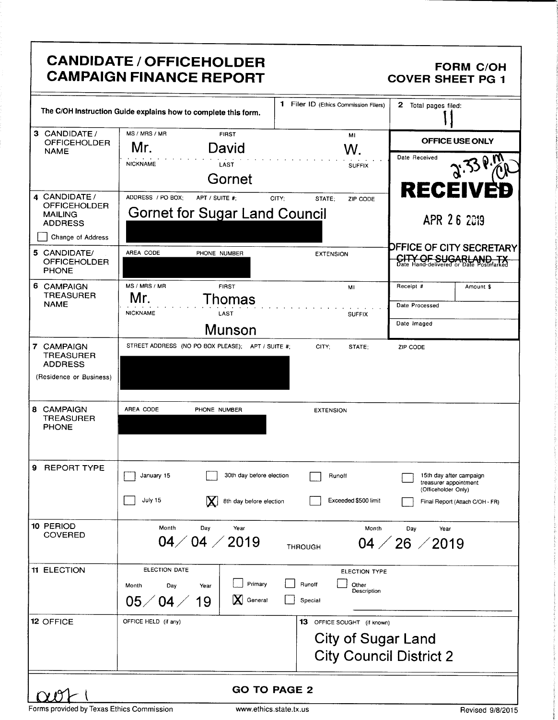|                                                                                               | <b>CANDIDATE / OFFICEHOLDER</b><br><b>CAMPAIGN FINANCE REPORT</b>                                     |                                                                                     | <b>FORM C/OH</b><br><b>COVER SHEET PG 1</b>                                                                |
|-----------------------------------------------------------------------------------------------|-------------------------------------------------------------------------------------------------------|-------------------------------------------------------------------------------------|------------------------------------------------------------------------------------------------------------|
|                                                                                               | The C/OH Instruction Guide explains how to complete this form.                                        | $\mathbf 1$<br>Filer ID (Ethics Commission Filers)                                  | 2 Total pages filed:                                                                                       |
| 3 CANDIDATE /<br><b>OFFICEHOLDER</b><br><b>NAME</b>                                           | MS / MRS / MR<br>FIRST<br>Mr.<br>David<br><b>NICKNAME</b><br>LAST<br>Gornet                           | MI<br>W.<br><b>SUFFIX</b>                                                           | <b>OFFICE USE ONLY</b><br>Date Received<br>$2.339\%$                                                       |
| 4 CANDIDATE /<br><b>OFFICEHOLDER</b><br><b>MAILING</b><br><b>ADDRESS</b><br>Change of Address | ADDRESS / PO BOX:<br>APT / SUITE #:<br>Gornet for Sugar Land Council                                  | CITY:<br>STATE:<br>ZIP CODE                                                         | <b>RECEIVE</b><br>APR 26 2019                                                                              |
| 5 CANDIDATE/<br><b>OFFICEHOLDER</b><br><b>PHONE</b>                                           | AREA CODE<br>PHONE NUMBER                                                                             | <b>EXTENSION</b>                                                                    | <b>DFFICE OF CITY SECRETARY</b><br>CITY OF SUGARLAND, TX                                                   |
| 6 CAMPAIGN<br><b>TREASURER</b><br><b>NAME</b>                                                 | MS / MRS / MR<br><b>FIRST</b><br>Mr.<br>Thomas<br><b>NICKNAME</b><br>LAST<br>Munson                   | MI<br><b>SUFFIX</b>                                                                 | Receipt #<br>Amount \$<br>Date Processed<br>Date Imaged                                                    |
| 7 CAMPAIGN<br><b>TREASURER</b><br><b>ADDRESS</b><br>(Residence or Business)                   | STREET ADDRESS (NO PO BOX PLEASE); APT / SUITE #;                                                     | CITY;<br>STATE:                                                                     | ZIP CODE                                                                                                   |
| 8 CAMPAIGN<br><b>TREASURER</b><br><b>PHONE</b>                                                | AREA CODE<br>PHONE NUMBER                                                                             | <b>EXTENSION</b>                                                                    |                                                                                                            |
| 9<br>REPORT TYPE                                                                              | 30th day before election<br>January 15<br>July 15<br>$ {\bf X} $<br>8th day before election           | Runoff<br>Exceeded \$500 limit                                                      | 15th day after campaign<br>treasurer appointment<br>(Officeholder Only)<br>Final Report (Attach C/OH - FR) |
| 10 PERIOD<br><b>COVERED</b>                                                                   | Month<br>Day<br>Year<br>04/04/2019                                                                    | Month<br>THROUGH                                                                    | Dav<br>Year<br>$04 \; / \; 26 \; / \; 2019$                                                                |
| <b>11 ELECTION</b>                                                                            | ELECTION DATE<br>Primary<br>Month<br>Day<br>Year<br>IXI.<br>$04\angle$<br>$05\angle$<br>General<br>19 | ELECTION TYPE<br>Runoff<br>Other<br>Description<br>Special                          |                                                                                                            |
| <b>12 OFFICE</b>                                                                              | OFFICE HELD (if any)                                                                                  | 13 OFFICE SOUGHT (if known)<br>City of Sugar Land<br><b>City Council District 2</b> |                                                                                                            |
|                                                                                               | <b>GO TO PAGE 2</b>                                                                                   |                                                                                     |                                                                                                            |

Forms provided by Texas Ethics Commission www.ethics.state.tx.us Revised 9/8/2015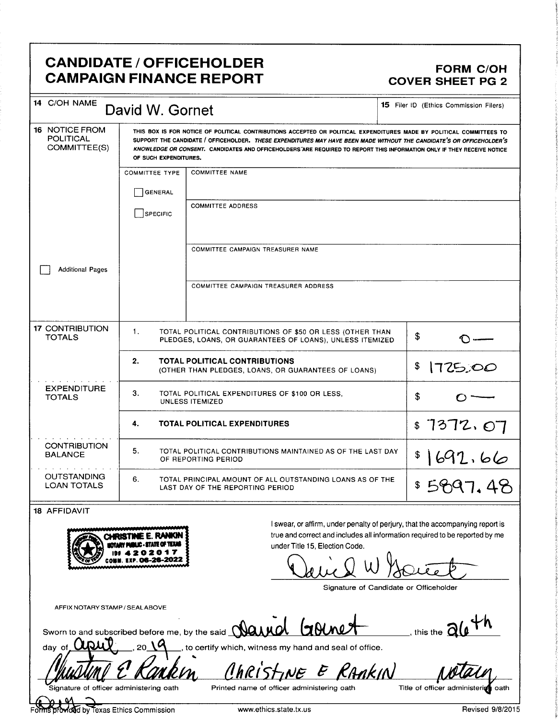### CANDIDATE / OFFICEHOLDER FORM C/OH CAMPAIGN FINANCE REPORT COVER SHEET PG 2

| 14 C/OH NAME<br>David W. Gornet                           |                                                                                                                                                                                                                                                                                                                                                                                                  |                                                                                                                       |    | <b>15</b> Filer ID (Ethics Commission Filers) |
|-----------------------------------------------------------|--------------------------------------------------------------------------------------------------------------------------------------------------------------------------------------------------------------------------------------------------------------------------------------------------------------------------------------------------------------------------------------------------|-----------------------------------------------------------------------------------------------------------------------|----|-----------------------------------------------|
| <b>16 NOTICE FROM</b><br><b>POLITICAL</b><br>COMMITTEE(S) | THIS BOX IS FOR NOTICE OF POLITICAL CONTRIBUTIONS ACCEPTED OR POLITICAL EXPENDITURES MADE BY POLITICAL COMMITTEES TO<br>SUPPORT THE CANDIDATE / OFFICEHOLDER. THESE EXPENDITURES MAY HAVE BEEN MADE WITHOUT THE CANDIDATE'S OR OFFICEHOLDER'S<br>KNOWLEDGE OR CONSENT. CANDIDATES AND OFFICEHOLDERS ARE REQUIRED TO REPORT THIS INFORMATION ONLY IF THEY RECEIVE NOTICE<br>OF SUCH EXPENDITURES. |                                                                                                                       |    |                                               |
|                                                           | <b>COMMITTEE TYPE</b>                                                                                                                                                                                                                                                                                                                                                                            | <b>COMMITTEE NAME</b>                                                                                                 |    |                                               |
|                                                           | <b>GENERAL</b>                                                                                                                                                                                                                                                                                                                                                                                   |                                                                                                                       |    |                                               |
|                                                           | SPECIFIC                                                                                                                                                                                                                                                                                                                                                                                         | <b>COMMITTEE ADDRESS</b>                                                                                              |    |                                               |
|                                                           |                                                                                                                                                                                                                                                                                                                                                                                                  |                                                                                                                       |    |                                               |
|                                                           |                                                                                                                                                                                                                                                                                                                                                                                                  | COMMITTEE CAMPAIGN TREASURER NAME                                                                                     |    |                                               |
| <b>Additional Pages</b>                                   |                                                                                                                                                                                                                                                                                                                                                                                                  |                                                                                                                       |    |                                               |
|                                                           |                                                                                                                                                                                                                                                                                                                                                                                                  | COMMITTEE CAMPAIGN TREASURER ADDRESS                                                                                  |    |                                               |
|                                                           |                                                                                                                                                                                                                                                                                                                                                                                                  |                                                                                                                       |    |                                               |
| <b>17 CONTRIBUTION</b><br><b>TOTALS</b>                   | $\mathbf{1}$ .                                                                                                                                                                                                                                                                                                                                                                                   | TOTAL POLITICAL CONTRIBUTIONS OF \$50 OR LESS (OTHER THAN<br>PLEDGES, LOANS, OR GUARANTEES OF LOANS), UNLESS ITEMIZED | \$ |                                               |
|                                                           | 2.                                                                                                                                                                                                                                                                                                                                                                                               | <b>TOTAL POLITICAL CONTRIBUTIONS</b><br>(OTHER THAN PLEDGES, LOANS, OR GUARANTEES OF LOANS)                           | \$ | 1725,00                                       |
| <b>EXPENDITURE</b><br><b>TOTALS</b>                       | З.                                                                                                                                                                                                                                                                                                                                                                                               | TOTAL POLITICAL EXPENDITURES OF \$100 OR LESS,<br>UNLESS ITEMIZED                                                     | \$ |                                               |
|                                                           | 4.                                                                                                                                                                                                                                                                                                                                                                                               | <b>TOTAL POLITICAL EXPENDITURES</b>                                                                                   |    | \$7372.07                                     |
| <b>CONTRIBUTION</b><br><b>BALANCE</b>                     | 5.                                                                                                                                                                                                                                                                                                                                                                                               | TOTAL POLITICAL CONTRIBUTIONS MAINTAINED AS OF THE LAST DAY<br>OF REPORTING PERIOD                                    |    | \$1692.66                                     |
| <b>OUTSTANDING</b><br><b>LOAN TOTALS</b>                  | 6.<br>\$5897.48<br>TOTAL PRINCIPAL AMOUNT OF ALL OUTSTANDING LOANS AS OF THE<br>LAST DAY OF THE REPORTING PERIOD                                                                                                                                                                                                                                                                                 |                                                                                                                       |    |                                               |
| <b>18 AFFIDAVIT</b>                                       |                                                                                                                                                                                                                                                                                                                                                                                                  |                                                                                                                       |    |                                               |



<sup>I</sup> swear, or affirm, under penalty of perjury, that the accompanying report is CHRISTINE E. RANKIN SECTION TO THE AND THE AND THE CHRISTINE E. RANKIN SECTION TO A THE AND THE AND THE UNION THE LEGION Code in a section Code in the 15. Election Code in the 15. Election Code in the 15. Election Code in under Title 15, Election Code.

 $\bigcup$ 

Signature of Candidate or Officeholder

AFFIX NOTARY STAMP/ SEAL ABOVE

Sworn to and subscribed before me, by the said  $\mathbf \Delta$ und  $\mathbf \Delta$   $\mathbf \Delta$ 

Christine E RAAKIN

to certify which, witness my hand and seal of office.

day of

 $\bm{J}$  ,  $\bm{J}$ 

signature of officer administering oath

Printed name of officer administering oath Title of officer administering oath

r. Foxas Ethics Commission **Example 2008** www.ethics.state.tx.us **Revised 9/8/2015**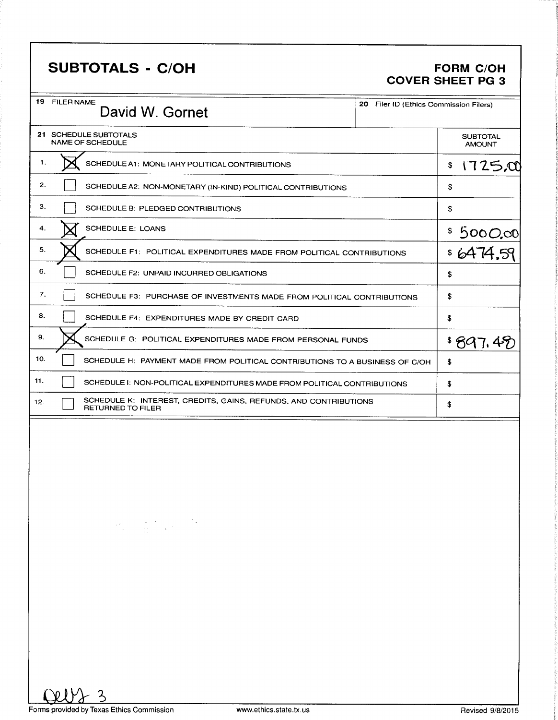## SUBTOTALS - C/OH FORM C/OH

# COVER SHEET PG 3

| 19 FILER NAME<br>David W. Gornet                                                                                                                                                                                                                                                                                                                             | 20 Filer ID (Ethics Commission Filers) |
|--------------------------------------------------------------------------------------------------------------------------------------------------------------------------------------------------------------------------------------------------------------------------------------------------------------------------------------------------------------|----------------------------------------|
| 21 SCHEDULE SUBTOTALS<br><b>NAME OF SCHEDULE</b>                                                                                                                                                                                                                                                                                                             | <b>SUBTOTAL</b><br><b>AMOUNT</b>       |
| 1.<br>SCHEDULE A1: MONETARY POLITICAL CONTRIBUTIONS                                                                                                                                                                                                                                                                                                          | 1725,00<br>\$                          |
| 2.<br>SCHEDULE A2: NON-MONETARY (IN-KIND) POLITICAL CONTRIBUTIONS                                                                                                                                                                                                                                                                                            | \$                                     |
| з.<br>SCHEDULE B: PLEDGED CONTRIBUTIONS                                                                                                                                                                                                                                                                                                                      | \$                                     |
| <b>SCHEDULE E: LOANS</b><br>4.                                                                                                                                                                                                                                                                                                                               |                                        |
| 5.<br>SCHEDULE F1: POLITICAL EXPENDITURES MADE FROM POLITICAL CONTRIBUTIONS                                                                                                                                                                                                                                                                                  | $\frac{$5000,00}{6474,59}$             |
| 6.<br>SCHEDULE F2: UNPAID INCURRED OBLIGATIONS                                                                                                                                                                                                                                                                                                               | \$                                     |
| 7.<br>SCHEDULE F3: PURCHASE OF INVESTMENTS MADE FROM POLITICAL CONTRIBUTIONS                                                                                                                                                                                                                                                                                 | \$                                     |
| 8.<br>SCHEDULE F4: EXPENDITURES MADE BY CREDIT CARD                                                                                                                                                                                                                                                                                                          | \$                                     |
| 9.<br>SCHEDULE G: POLITICAL EXPENDITURES MADE FROM PERSONAL FUNDS                                                                                                                                                                                                                                                                                            | \$897.4                                |
| 10.<br>SCHEDULE H: PAYMENT MADE FROM POLITICAL CONTRIBUTIONS TO A BUSINESS OF C/OH                                                                                                                                                                                                                                                                           | \$                                     |
| 11.<br>SCHEDULE I: NON-POLITICAL EXPENDITURES MADE FROM POLITICAL CONTRIBUTIONS                                                                                                                                                                                                                                                                              | \$                                     |
| SCHEDULE K: INTEREST, CREDITS, GAINS, REFUNDS, AND CONTRIBUTIONS<br>12.<br>RETURNED TO FILER                                                                                                                                                                                                                                                                 | \$                                     |
| $\label{eq:2.1} \frac{1}{2} \sum_{i=1}^n \frac{1}{2} \sum_{i=1}^n \frac{1}{2} \sum_{i=1}^n \frac{1}{2} \sum_{i=1}^n \frac{1}{2} \sum_{i=1}^n \frac{1}{2} \sum_{i=1}^n \frac{1}{2} \sum_{i=1}^n \frac{1}{2} \sum_{i=1}^n \frac{1}{2} \sum_{i=1}^n \frac{1}{2} \sum_{i=1}^n \frac{1}{2} \sum_{i=1}^n \frac{1}{2} \sum_{i=1}^n \frac{1}{2} \sum_{i=1}^n \frac{$ |                                        |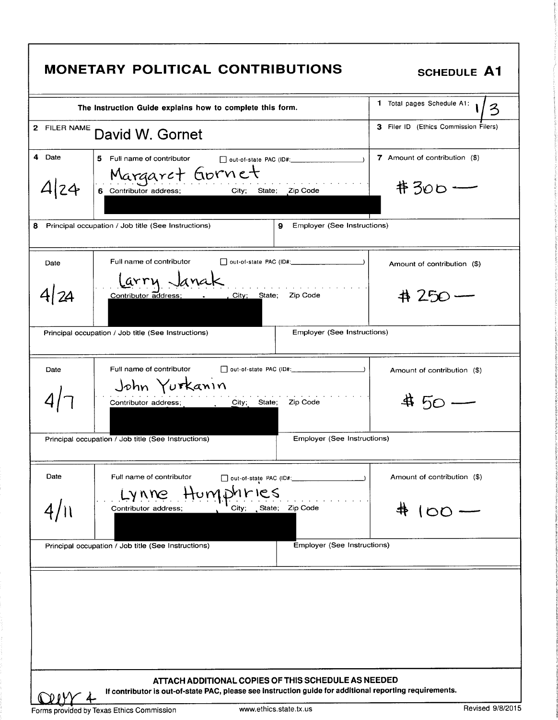| The Instruction Guide explains how to complete this form.                                                                                                      | 1 Total pages Schedule A1:<br>3           |
|----------------------------------------------------------------------------------------------------------------------------------------------------------------|-------------------------------------------|
| 2 FILER NAME<br>David W. Gornet                                                                                                                                | 3 Filer ID (Ethics Commission Filers)     |
| 4 Date<br>5 Full name of contributor<br>Margaret Gornet<br>4 24<br>City; State; Zip Code<br>6 Contributor address;                                             | 7 Amount of contribution (\$)<br>$#300 -$ |
| Principal occupation / Job title (See Instructions)<br>Employer (See Instructions)<br>9.                                                                       |                                           |
| Full name of contributor<br>out-of-state PAC (ID#: _______________________)<br>Date                                                                            | Amount of contribution (\$)               |
| Larry Janak<br>41 24<br>City; State; Zip Code<br>Contributor address:                                                                                          | 41 250 —                                  |
| Employer (See Instructions)<br>Principal occupation / Job title (See Instructions)                                                                             |                                           |
| Full name of contributor<br>Date<br>John Yurkanın                                                                                                              | Amount of contribution (\$)               |
| City; State; Zip Code<br>Contributor address;                                                                                                                  |                                           |
| Principal occupation / Job title (See Instructions)<br>Employer (See Instructions)                                                                             |                                           |
| Date<br>Full name of contributor<br>out-of-state PAC (ID#:                                                                                                     | Amount of contribution (\$)               |
| Humphries<br>LYNDE<br>City; State; Zip Code<br>Contributor address;                                                                                            | $00-$                                     |
| Employer (See Instructions)<br>Principal occupation / Job title (See Instructions)                                                                             |                                           |
|                                                                                                                                                                |                                           |
| ATTACH ADDITIONAL COPIES OF THIS SCHEDULE AS NEEDED<br>If contributor is out-of-state PAC, please see instruction guide for additional reporting requirements. |                                           |
|                                                                                                                                                                |                                           |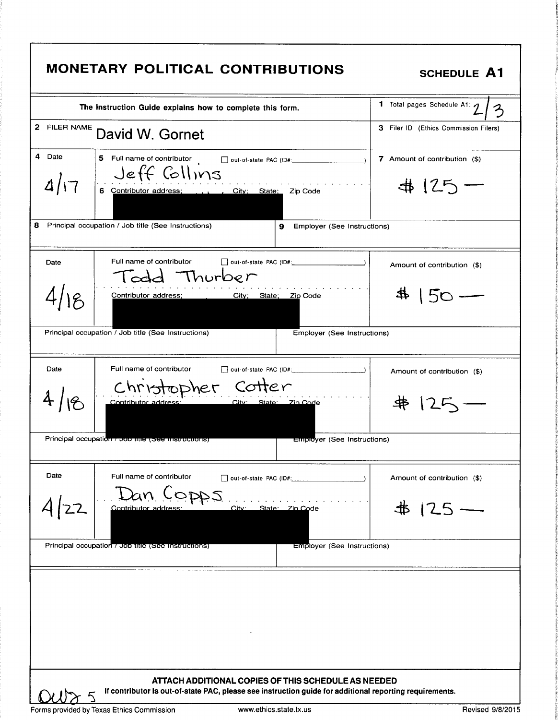| The Instruction Guide explains how to complete this form.                                                                                                      | 1 Total pages Schedule A1: $\eta$<br>$\mathcal{Z}_{\mathcal{C}}$ |
|----------------------------------------------------------------------------------------------------------------------------------------------------------------|------------------------------------------------------------------|
| 2 FILER NAME<br>David W. Gornet                                                                                                                                | 3 Filer ID (Ethics Commission Filers)                            |
| 4 Date<br>5 Full name of contributor<br>$\Box$ out-of-state PAC (ID#:<br>Jeff Collins<br>4/17<br>6 Contributor address;  , City; State; Zip Code               | 7 Amount of contribution (\$)<br>$4125 -$                        |
| 8 Principal occupation / Job title (See Instructions)<br>Employer (See Instructions)<br>9.                                                                     |                                                                  |
| Full name of contributor<br>Date<br>cold Thurber                                                                                                               | Amount of contribution (\$)                                      |
| Contributor address;<br>City; State; Zip Code                                                                                                                  | $\overline{O}$                                                   |
| Principal occupation / Job title (See Instructions)<br>Employer (See Instructions)                                                                             |                                                                  |
| Full name of contributor<br>Date                                                                                                                               | Amount of contribution (\$)                                      |
| Christopher Cotter<br>Contributor address:<br>City: State: Zin Code                                                                                            | 井 125                                                            |
| Principal occupation / Job mie (See mstructions)<br><b>Employer</b> (See Instructions)                                                                         |                                                                  |
| Date<br>Full name of contributor<br>out-of-state PAC (ID#:<br>$\Box$                                                                                           | Amount of contribution (\$)                                      |
| Dan Copps<br>Contributor address:<br>State: Zip Code<br>City: __                                                                                               | 串 125 -                                                          |
| Principal occupation 7 Job title (See Instructions)<br><b>Employer (See Instructions)</b>                                                                      |                                                                  |
|                                                                                                                                                                |                                                                  |
| ATTACH ADDITIONAL COPIES OF THIS SCHEDULE AS NEEDED<br>If contributor is out-of-state PAC, please see instruction guide for additional reporting requirements. |                                                                  |
|                                                                                                                                                                |                                                                  |

r

t

t g

t P

**the control** t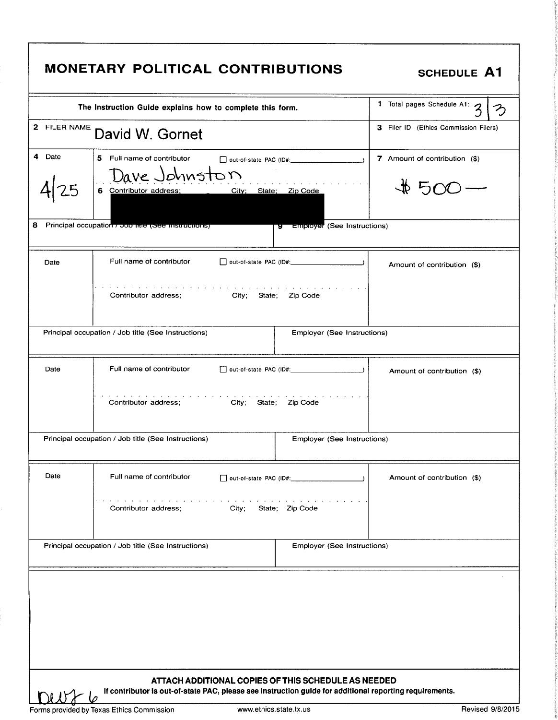|                                                                                                                                                                                                                                  | MONETARY POLITICAL CONTRIBUTIONS                                                                                                                                                            | <b>SCHEDULE A1</b>                        |  |  |
|----------------------------------------------------------------------------------------------------------------------------------------------------------------------------------------------------------------------------------|---------------------------------------------------------------------------------------------------------------------------------------------------------------------------------------------|-------------------------------------------|--|--|
|                                                                                                                                                                                                                                  | The Instruction Guide explains how to complete this form.                                                                                                                                   | 1 Total pages Schedule A1: 3              |  |  |
| 2 FILER NAME                                                                                                                                                                                                                     | David W. Gornet                                                                                                                                                                             | 3 Filer ID (Ethics Commission Filers)     |  |  |
| 4 Date<br>8                                                                                                                                                                                                                      | 5 Full name of contributor<br>Dave Johnston<br>City; State; Zip Code<br>6 Contributor address;<br>Principal occupation 7 Job Ime (See Instructions)<br><b>y</b> Employer (See Instructions) | 7 Amount of contribution (\$)<br>$#500 -$ |  |  |
| Full name of contributor<br>Date<br>Amount of contribution (\$)<br>the contract of the contract of the contract of the contract of the contract of the contract of the contract of<br>Contributor address; City; State; Zip Code |                                                                                                                                                                                             |                                           |  |  |
| Principal occupation / Job title (See Instructions)<br>Employer (See Instructions)                                                                                                                                               |                                                                                                                                                                                             |                                           |  |  |
| Date                                                                                                                                                                                                                             | Full name of contributor<br>and the contract of the contract of the contract of<br>City; State; Zip Code<br>Contributor address;                                                            | Amount of contribution (\$)               |  |  |
|                                                                                                                                                                                                                                  | Principal occupation / Job title (See Instructions)<br>Employer (See Instructions)                                                                                                          |                                           |  |  |
| Date                                                                                                                                                                                                                             | Full name of contributor<br>out-of-state PAC (ID#:<br>Contributor address;<br>City:<br>State; Zip Code                                                                                      | Amount of contribution (\$)               |  |  |
| Principal occupation / Job title (See Instructions)<br>Employer (See Instructions)                                                                                                                                               |                                                                                                                                                                                             |                                           |  |  |
| ATTACH ADDITIONAL COPIES OF THIS SCHEDULE AS NEEDED<br>If contributor is out-of-state PAC, please see instruction guide for additional reporting requirements.                                                                   |                                                                                                                                                                                             |                                           |  |  |
|                                                                                                                                                                                                                                  | www.ethics.state.tx.us<br>Forms provided by Texas Ethics Commission                                                                                                                         | Revised 9/8/2015                          |  |  |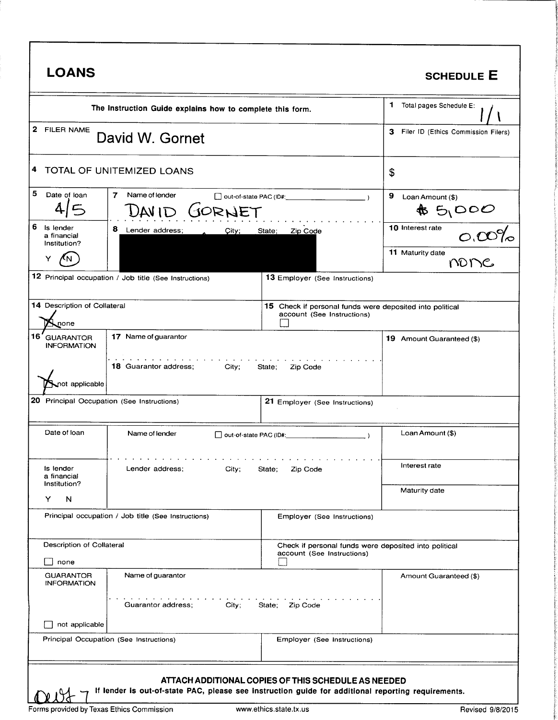| 1 Total pages Schedule E:<br>The Instruction Guide explains how to complete this form.<br>3 Filer ID (Ethics Commission Filers)<br>David W. Gornet<br>4 TOTAL OF UNITEMIZED LOANS<br>\$<br>$\overline{ }$<br>Name of lender<br>9<br>out-of-state PAC (ID#:<br>Loan Amount (\$)<br>GORNET<br>$*$ 5/000<br>DAVID<br>10 Interest rate<br>8<br>Lender address;<br>State;<br>Zip Code<br>City;<br>11 Maturity date<br>none<br>12 Principal occupation / Job title (See Instructions)<br><b>13 Employer (See Instructions)</b><br>14 Description of Collateral<br>15 Check if personal funds were deposited into political<br>account (See Instructions)<br>none<br>17 Name of guarantor<br>19 Amount Guaranteed (\$)<br>والمناولة والمناولة والمناورة<br><b>18 Guarantor address:</b><br>City;<br>State;<br>Zip Code<br>not applicable<br>20 Principal Occupation (See Instructions)<br>21 Employer (See Instructions)<br>Loan Amount (\$)<br>Name of lender<br>out-of-state PAC (ID#:<br>Interest rate<br>Lender address;<br>City;<br>Zip Code<br>State;<br>Maturity date<br>N<br>Principal occupation / Job title (See Instructions)<br>Employer (See Instructions)<br>Description of Collateral<br>Check if personal funds were deposited into political<br>account (See Instructions)<br>none<br>Name of guarantor<br>Amount Guaranteed (\$)<br>Guarantor address;<br>City;<br>State; Zip Code<br>not applicable<br>Principal Occupation (See Instructions)<br>Employer (See Instructions)<br>ATTACH ADDITIONAL COPIES OF THIS SCHEDULE AS NEEDED<br>If lender is out-of-state PAC, please see instruction guide for additional reporting requirements.<br>Forms provided by Texas Ethics Commission | <b>LOANS</b>                                    |  |                        | <b>SCHEDULE E</b> |
|-----------------------------------------------------------------------------------------------------------------------------------------------------------------------------------------------------------------------------------------------------------------------------------------------------------------------------------------------------------------------------------------------------------------------------------------------------------------------------------------------------------------------------------------------------------------------------------------------------------------------------------------------------------------------------------------------------------------------------------------------------------------------------------------------------------------------------------------------------------------------------------------------------------------------------------------------------------------------------------------------------------------------------------------------------------------------------------------------------------------------------------------------------------------------------------------------------------------------------------------------------------------------------------------------------------------------------------------------------------------------------------------------------------------------------------------------------------------------------------------------------------------------------------------------------------------------------------------------------------------------------------------------------------------------------------------------------|-------------------------------------------------|--|------------------------|-------------------|
|                                                                                                                                                                                                                                                                                                                                                                                                                                                                                                                                                                                                                                                                                                                                                                                                                                                                                                                                                                                                                                                                                                                                                                                                                                                                                                                                                                                                                                                                                                                                                                                                                                                                                                     |                                                 |  |                        |                   |
|                                                                                                                                                                                                                                                                                                                                                                                                                                                                                                                                                                                                                                                                                                                                                                                                                                                                                                                                                                                                                                                                                                                                                                                                                                                                                                                                                                                                                                                                                                                                                                                                                                                                                                     | 2 FILER NAME                                    |  |                        |                   |
|                                                                                                                                                                                                                                                                                                                                                                                                                                                                                                                                                                                                                                                                                                                                                                                                                                                                                                                                                                                                                                                                                                                                                                                                                                                                                                                                                                                                                                                                                                                                                                                                                                                                                                     |                                                 |  |                        |                   |
|                                                                                                                                                                                                                                                                                                                                                                                                                                                                                                                                                                                                                                                                                                                                                                                                                                                                                                                                                                                                                                                                                                                                                                                                                                                                                                                                                                                                                                                                                                                                                                                                                                                                                                     | Date of loan                                    |  |                        |                   |
|                                                                                                                                                                                                                                                                                                                                                                                                                                                                                                                                                                                                                                                                                                                                                                                                                                                                                                                                                                                                                                                                                                                                                                                                                                                                                                                                                                                                                                                                                                                                                                                                                                                                                                     | 6<br>Is lender<br>a financial<br>Institution?   |  |                        | $O,00\%$          |
|                                                                                                                                                                                                                                                                                                                                                                                                                                                                                                                                                                                                                                                                                                                                                                                                                                                                                                                                                                                                                                                                                                                                                                                                                                                                                                                                                                                                                                                                                                                                                                                                                                                                                                     |                                                 |  |                        |                   |
|                                                                                                                                                                                                                                                                                                                                                                                                                                                                                                                                                                                                                                                                                                                                                                                                                                                                                                                                                                                                                                                                                                                                                                                                                                                                                                                                                                                                                                                                                                                                                                                                                                                                                                     |                                                 |  |                        |                   |
|                                                                                                                                                                                                                                                                                                                                                                                                                                                                                                                                                                                                                                                                                                                                                                                                                                                                                                                                                                                                                                                                                                                                                                                                                                                                                                                                                                                                                                                                                                                                                                                                                                                                                                     |                                                 |  |                        |                   |
|                                                                                                                                                                                                                                                                                                                                                                                                                                                                                                                                                                                                                                                                                                                                                                                                                                                                                                                                                                                                                                                                                                                                                                                                                                                                                                                                                                                                                                                                                                                                                                                                                                                                                                     | 16 <sup>'</sup> GUARANTOR<br><b>INFORMATION</b> |  |                        |                   |
|                                                                                                                                                                                                                                                                                                                                                                                                                                                                                                                                                                                                                                                                                                                                                                                                                                                                                                                                                                                                                                                                                                                                                                                                                                                                                                                                                                                                                                                                                                                                                                                                                                                                                                     |                                                 |  |                        |                   |
|                                                                                                                                                                                                                                                                                                                                                                                                                                                                                                                                                                                                                                                                                                                                                                                                                                                                                                                                                                                                                                                                                                                                                                                                                                                                                                                                                                                                                                                                                                                                                                                                                                                                                                     |                                                 |  |                        |                   |
|                                                                                                                                                                                                                                                                                                                                                                                                                                                                                                                                                                                                                                                                                                                                                                                                                                                                                                                                                                                                                                                                                                                                                                                                                                                                                                                                                                                                                                                                                                                                                                                                                                                                                                     | Date of loan                                    |  |                        |                   |
|                                                                                                                                                                                                                                                                                                                                                                                                                                                                                                                                                                                                                                                                                                                                                                                                                                                                                                                                                                                                                                                                                                                                                                                                                                                                                                                                                                                                                                                                                                                                                                                                                                                                                                     | Is lender<br>a financial                        |  |                        |                   |
|                                                                                                                                                                                                                                                                                                                                                                                                                                                                                                                                                                                                                                                                                                                                                                                                                                                                                                                                                                                                                                                                                                                                                                                                                                                                                                                                                                                                                                                                                                                                                                                                                                                                                                     | Institution?<br>Y                               |  |                        |                   |
|                                                                                                                                                                                                                                                                                                                                                                                                                                                                                                                                                                                                                                                                                                                                                                                                                                                                                                                                                                                                                                                                                                                                                                                                                                                                                                                                                                                                                                                                                                                                                                                                                                                                                                     |                                                 |  |                        |                   |
|                                                                                                                                                                                                                                                                                                                                                                                                                                                                                                                                                                                                                                                                                                                                                                                                                                                                                                                                                                                                                                                                                                                                                                                                                                                                                                                                                                                                                                                                                                                                                                                                                                                                                                     |                                                 |  |                        |                   |
|                                                                                                                                                                                                                                                                                                                                                                                                                                                                                                                                                                                                                                                                                                                                                                                                                                                                                                                                                                                                                                                                                                                                                                                                                                                                                                                                                                                                                                                                                                                                                                                                                                                                                                     | <b>GUARANTOR</b><br><b>INFORMATION</b>          |  |                        |                   |
|                                                                                                                                                                                                                                                                                                                                                                                                                                                                                                                                                                                                                                                                                                                                                                                                                                                                                                                                                                                                                                                                                                                                                                                                                                                                                                                                                                                                                                                                                                                                                                                                                                                                                                     |                                                 |  |                        |                   |
|                                                                                                                                                                                                                                                                                                                                                                                                                                                                                                                                                                                                                                                                                                                                                                                                                                                                                                                                                                                                                                                                                                                                                                                                                                                                                                                                                                                                                                                                                                                                                                                                                                                                                                     |                                                 |  |                        |                   |
|                                                                                                                                                                                                                                                                                                                                                                                                                                                                                                                                                                                                                                                                                                                                                                                                                                                                                                                                                                                                                                                                                                                                                                                                                                                                                                                                                                                                                                                                                                                                                                                                                                                                                                     |                                                 |  |                        |                   |
|                                                                                                                                                                                                                                                                                                                                                                                                                                                                                                                                                                                                                                                                                                                                                                                                                                                                                                                                                                                                                                                                                                                                                                                                                                                                                                                                                                                                                                                                                                                                                                                                                                                                                                     |                                                 |  |                        |                   |
|                                                                                                                                                                                                                                                                                                                                                                                                                                                                                                                                                                                                                                                                                                                                                                                                                                                                                                                                                                                                                                                                                                                                                                                                                                                                                                                                                                                                                                                                                                                                                                                                                                                                                                     |                                                 |  | www.ethics.state.tx.us | Revised 9/8/2015  |

i

i•

 $\frac{1}{k}$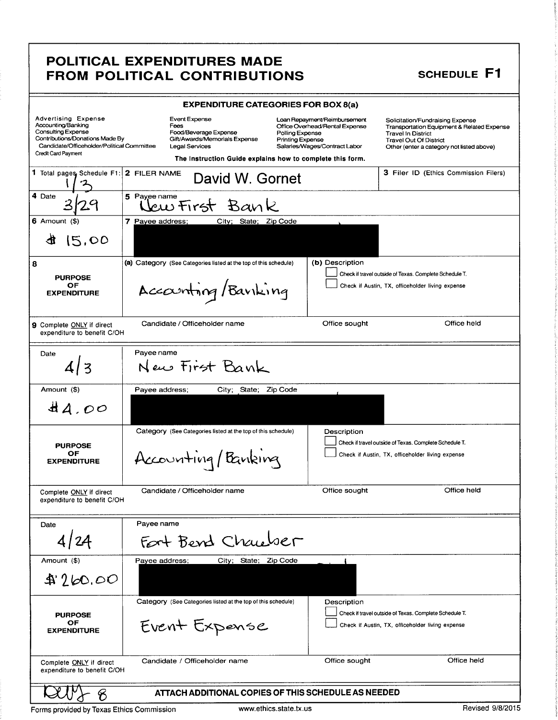### POLITICAL EXPENDITURES MADE FROM POLITICAL CONTRIBUTIONS SCHEDULE F1

|                                                                                                                                                                                | <b>EXPENDITURE CATEGORIES FOR BOX 8(a)</b>                                                                                                                                                                                 |                                                                                                 |                                                                                                                                                                                                      |
|--------------------------------------------------------------------------------------------------------------------------------------------------------------------------------|----------------------------------------------------------------------------------------------------------------------------------------------------------------------------------------------------------------------------|-------------------------------------------------------------------------------------------------|------------------------------------------------------------------------------------------------------------------------------------------------------------------------------------------------------|
| <b>Advertising Expense</b><br>Accounting/Banking<br>Consulting Expense<br>Contributions/Donations Made By<br>Candidate/Officeholder/Political Committee<br>Credit Card Payment | <b>Event Expense</b><br>Fees<br>Food/Beverage Expense<br>Polling Expense<br>Gift/Awards/Memorials Expense<br><b>Printing Expense</b><br><b>Legal Services</b><br>The Instruction Guide explains how to complete this form. | Loan Repayment/Reimbursement<br>Office Overhead/Rental Expense<br>Salaries/Wages/Contract Labor | Solicitation/Fundraising Expense<br><b>Transportation Equipment &amp; Related Expense</b><br><b>Travel In District</b><br><b>Travel Out Of District</b><br>Other (enter a category not listed above) |
| 1 Total pages Schedule F1:                                                                                                                                                     | 2 FILER NAME<br>David W. Gornet                                                                                                                                                                                            |                                                                                                 | <b>3 Filer ID (Ethics Commission Filers)</b>                                                                                                                                                         |
| 4 Date                                                                                                                                                                         | 5 Payee name<br>ew First Bank                                                                                                                                                                                              |                                                                                                 |                                                                                                                                                                                                      |
| $6$ Amount $(3)$                                                                                                                                                               | 7 Payee address;<br>City; State; Zip Code                                                                                                                                                                                  |                                                                                                 |                                                                                                                                                                                                      |
| 15,00                                                                                                                                                                          |                                                                                                                                                                                                                            |                                                                                                 |                                                                                                                                                                                                      |
| 8                                                                                                                                                                              | (a) Category (See Categories listed at the top of this schedule)                                                                                                                                                           | (b) Description                                                                                 |                                                                                                                                                                                                      |
| <b>PURPOSE</b><br>OF<br><b>EXPENDITURE</b>                                                                                                                                     | Accounting/Banking                                                                                                                                                                                                         |                                                                                                 | Check if travel outside of Texas. Complete Schedule T.<br>Check if Austin, TX, officeholder living expense                                                                                           |
| 9 Complete ONLY if direct<br>expenditure to benefit C/OH                                                                                                                       | Candidate / Officeholder name                                                                                                                                                                                              | Office sought                                                                                   | Office held                                                                                                                                                                                          |
| Date                                                                                                                                                                           | Payee name<br>New First Bank                                                                                                                                                                                               |                                                                                                 |                                                                                                                                                                                                      |
| Amount (\$)                                                                                                                                                                    | Payee address;<br>City; State; Zip Code                                                                                                                                                                                    |                                                                                                 |                                                                                                                                                                                                      |
| AA.00                                                                                                                                                                          |                                                                                                                                                                                                                            |                                                                                                 |                                                                                                                                                                                                      |
| <b>PURPOSE</b><br>OF<br><b>EXPENDITURE</b>                                                                                                                                     | Category (See Categories listed at the top of this schedule)<br>Accounting/Banking                                                                                                                                         | Description                                                                                     | Check if travel outside of Texas. Complete Schedule T.<br>Check if Austin, TX, officeholder living expense                                                                                           |
| Complete ONLY if direct<br>expenditure to benefit C/OH                                                                                                                         | Candidate / Officeholder name                                                                                                                                                                                              | Office sought                                                                                   | Office held                                                                                                                                                                                          |
| Date                                                                                                                                                                           | Payee name                                                                                                                                                                                                                 |                                                                                                 |                                                                                                                                                                                                      |
| 4/24                                                                                                                                                                           | Fort Bend Chauber                                                                                                                                                                                                          |                                                                                                 |                                                                                                                                                                                                      |
| Amount (\$)                                                                                                                                                                    | Payee address;<br>City; State; Zip Code                                                                                                                                                                                    |                                                                                                 |                                                                                                                                                                                                      |
| 4260.00                                                                                                                                                                        |                                                                                                                                                                                                                            |                                                                                                 |                                                                                                                                                                                                      |
| <b>PURPOSE</b><br>OF<br><b>EXPENDITURE</b>                                                                                                                                     | Category (See Categories listed at the top of this schedule)<br>Event Expense                                                                                                                                              | Description                                                                                     | Check if travel outside of Texas. Complete Schedule T.<br>Check if Austin, TX, officeholder living expense                                                                                           |
| Office held<br>Office sought<br>Candidate / Officeholder name<br>Complete ONLY if direct<br>expenditure to benefit C/OH                                                        |                                                                                                                                                                                                                            |                                                                                                 |                                                                                                                                                                                                      |
| ATTACH ADDITIONAL COPIES OF THIS SCHEDULE AS NEEDED                                                                                                                            |                                                                                                                                                                                                                            |                                                                                                 |                                                                                                                                                                                                      |

Forms provided by Texas Ethics Commission www.ethics.state.tx.us Revised 9/8/2015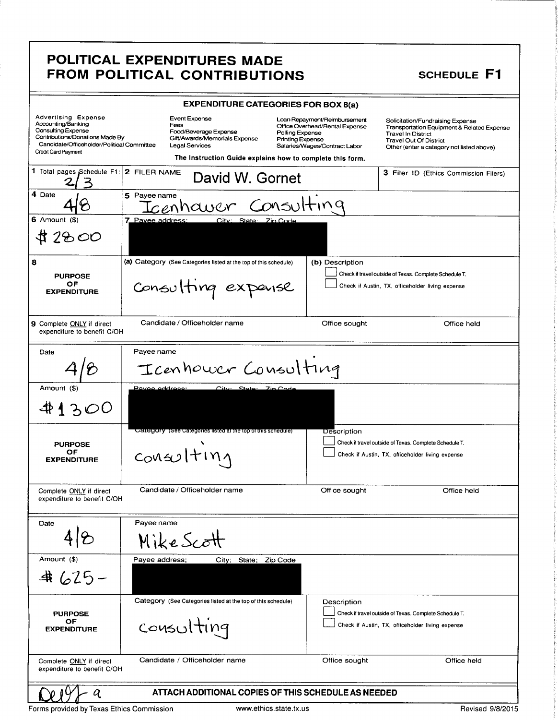### POLITICAL EXPENDITURES MADE FROM POLITICAL CONTRIBUTIONS SCHEDULE F1

| <b>EXPENDITURE CATEGORIES FOR BOX 8(a)</b>                                                                                                                                            |                                                                                                                                                                              |                                                                                                                                                                                                                                          |                                                                                         |  |
|---------------------------------------------------------------------------------------------------------------------------------------------------------------------------------------|------------------------------------------------------------------------------------------------------------------------------------------------------------------------------|------------------------------------------------------------------------------------------------------------------------------------------------------------------------------------------------------------------------------------------|-----------------------------------------------------------------------------------------|--|
| <b>Advertising Expense</b><br>Accounting/Banking<br>Consulting Expense<br>Contributions/Donations Made By<br>Candidate/Officeholder/Political Committee<br><b>Credit Card Payment</b> | <b>Event Expense</b><br>Fees<br>Food/Beverage Expense<br>Gift/Awards/Memorials Expense<br><b>Legal Services</b><br>The Instruction Guide explains how to complete this form. | Loan Repayment/Reimbursement<br>Solicitation/Fundraising Expense<br>Office Overhead/Rental Expense<br>Polling Expense<br><b>Travel In District</b><br><b>Printing Expense</b><br>Travel Out Of District<br>Salaries/Wages/Contract Labor | Transportation Equipment & Related Expense<br>Other (enter a category not listed above) |  |
| 1 Total pages Schedule F1:                                                                                                                                                            | 2 FILER NAME<br>David W. Gornet                                                                                                                                              |                                                                                                                                                                                                                                          | 3 Filer ID (Ethics Commission Filers)                                                   |  |
| 4 Date                                                                                                                                                                                | 5 Payee name<br>Icenhawer Consulting                                                                                                                                         |                                                                                                                                                                                                                                          |                                                                                         |  |
| $6$ Amount $($ )<br>2800                                                                                                                                                              | 7 Pavee address:<br>City: State: Zin Code                                                                                                                                    |                                                                                                                                                                                                                                          |                                                                                         |  |
| 8<br><b>PURPOSE</b><br>ОF<br><b>EXPENDITURE</b>                                                                                                                                       | (a) Category (See Categories listed at the top of this schedule)<br>Consulting expense                                                                                       | (b) Description<br>Check if travel outside of Texas. Complete Schedule T.<br>Check if Austin, TX, officeholder living expense                                                                                                            |                                                                                         |  |
| 9 Complete ONLY if direct<br>expenditure to benefit C/OH                                                                                                                              | Candidate / Officeholder name                                                                                                                                                | Office sought                                                                                                                                                                                                                            | Office held                                                                             |  |
| Date                                                                                                                                                                                  | Payee name<br>Icenhower Consulting                                                                                                                                           |                                                                                                                                                                                                                                          |                                                                                         |  |
| Amount (\$)<br>41300                                                                                                                                                                  | Pavee address:<br>State:<br>City.                                                                                                                                            | <b>Zio Code</b>                                                                                                                                                                                                                          |                                                                                         |  |
| <b>PURPOSE</b><br>OF<br><b>EXPENDITURE</b>                                                                                                                                            | Category (See Categories listed at the top of this schedule)<br>$con\omega$ Iting                                                                                            | Description<br>Check if travel outside of Texas. Complete Schedule T.<br>Check if Austin, TX, officeholder living expense                                                                                                                |                                                                                         |  |
| Complete ONLY if direct<br>expenditure to benefit C/OH                                                                                                                                | Candidate / Officeholder name                                                                                                                                                | Office sought                                                                                                                                                                                                                            | Office held                                                                             |  |
| Date                                                                                                                                                                                  | Payee name<br>Mike Scott                                                                                                                                                     |                                                                                                                                                                                                                                          |                                                                                         |  |
| Amount (\$)<br>$4625-$                                                                                                                                                                | Payee address;<br>City; State;                                                                                                                                               | Zip Code                                                                                                                                                                                                                                 |                                                                                         |  |
| <b>PURPOSE</b><br>OF<br><b>EXPENDITURE</b>                                                                                                                                            | Category (See Categories listed at the top of this schedule)<br>consulting                                                                                                   | Description<br>Check if travel outside of Texas. Complete Schedule T.<br>Check if Austin, TX, officeholder living expense                                                                                                                |                                                                                         |  |
| Complete ONLY if direct<br>expenditure to benefit C/OH                                                                                                                                | Candidate / Officeholder name                                                                                                                                                | Office sought                                                                                                                                                                                                                            | Office held                                                                             |  |
| ATTACH ADDITIONAL COPIES OF THIS SCHEDULE AS NEEDED<br>q<br>ususu othion ototo ty un<br><b>Dovined O/O/OO1F</b>                                                                       |                                                                                                                                                                              |                                                                                                                                                                                                                                          |                                                                                         |  |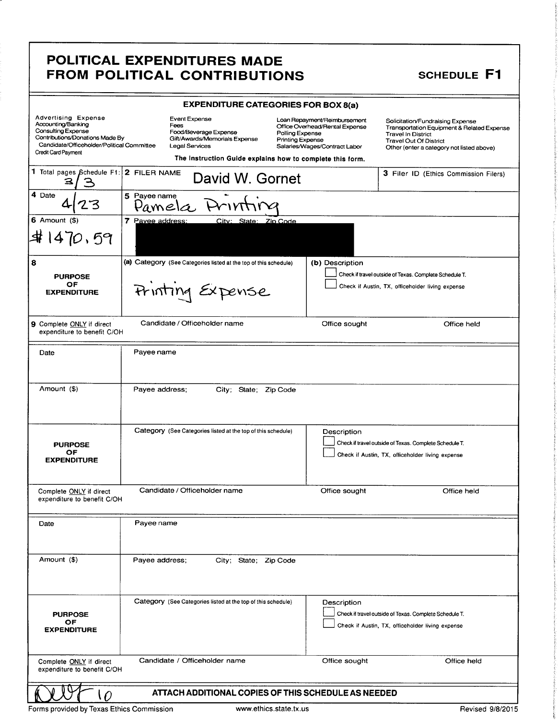### POLITICAL EXPENDITURES MADE FROM POLITICAL CONTRIBUTIONS SCHEDULE F1

| <b>EXPENDITURE CATEGORIES FOR BOX 8(a)</b>                                                                                                                                     |                                                                                                                                                                       |                                                                                                                                               |                                                                                                                                                                                                      |  |
|--------------------------------------------------------------------------------------------------------------------------------------------------------------------------------|-----------------------------------------------------------------------------------------------------------------------------------------------------------------------|-----------------------------------------------------------------------------------------------------------------------------------------------|------------------------------------------------------------------------------------------------------------------------------------------------------------------------------------------------------|--|
| <b>Advertising Expense</b><br>Accounting/Banking<br>Consulting Expense<br>Contributions/Donations Made By<br>Candidate/Officeholder/Political Committee<br>Credit Card Payment | Event Expense<br>Fees<br>Food/Beverage Expense<br>Gift/Awards/Memorials Expense<br><b>Legal Services</b><br>The Instruction Guide explains how to complete this form. | Loan Repayment/Reimbursement<br>Office Overhead/Rental Expense<br>Polling Expense<br><b>Printing Expense</b><br>Salaries/Wages/Contract Labor | Solicitation/Fundraising Expense<br><b>Transportation Equipment &amp; Related Expense</b><br><b>Travel In District</b><br><b>Travel Out Of District</b><br>Other (enter a category not listed above) |  |
| 1 Total pages Schedule F1:                                                                                                                                                     | 2 FILER NAME<br>David W. Gornet                                                                                                                                       |                                                                                                                                               | 3 Filer ID (Ethics Commission Filers)                                                                                                                                                                |  |
| 4 Date                                                                                                                                                                         | 5 Payee name<br>Pamelc                                                                                                                                                |                                                                                                                                               |                                                                                                                                                                                                      |  |
| 6 Amount $($ \$)<br>\$1470.59                                                                                                                                                  | 7 Pavee address:<br>City: State: Zip Code                                                                                                                             |                                                                                                                                               |                                                                                                                                                                                                      |  |
| 8<br><b>PURPOSE</b><br>OF<br><b>EXPENDITURE</b>                                                                                                                                | (a) Category (See Categories listed at the top of this schedule)<br>Frinting Expense                                                                                  | (b) Description                                                                                                                               | Check if travel outside of Texas. Complete Schedule T.<br>Check if Austin, TX, officeholder living expense                                                                                           |  |
| 9 Complete ONLY if direct<br>expenditure to benefit C/OH                                                                                                                       | Candidate / Officeholder name                                                                                                                                         | Office sought                                                                                                                                 | Office held                                                                                                                                                                                          |  |
| Date                                                                                                                                                                           | Payee name                                                                                                                                                            |                                                                                                                                               |                                                                                                                                                                                                      |  |
| Amount (\$)                                                                                                                                                                    | Payee address;<br>City; State; Zip Code                                                                                                                               |                                                                                                                                               |                                                                                                                                                                                                      |  |
| <b>PURPOSE</b><br>ОF<br><b>EXPENDITURE</b>                                                                                                                                     | Category (See Categories listed at the top of this schedule)                                                                                                          | Description                                                                                                                                   | Check if travel outside of Texas. Complete Schedule T.<br>Check if Austin, TX, officeholder living expense                                                                                           |  |
| Complete ONLY if direct<br>expenditure to benefit C/OH                                                                                                                         | Candidate / Officeholder name                                                                                                                                         | Office sought                                                                                                                                 | Office held                                                                                                                                                                                          |  |
| Date                                                                                                                                                                           | Payee name                                                                                                                                                            |                                                                                                                                               |                                                                                                                                                                                                      |  |
| Amount (\$)                                                                                                                                                                    | Payee address;<br>City; State; Zip Code                                                                                                                               |                                                                                                                                               |                                                                                                                                                                                                      |  |
| <b>PURPOSE</b><br>OF<br><b>EXPENDITURE</b>                                                                                                                                     | Category (See Categories listed at the top of this schedule)                                                                                                          | Description                                                                                                                                   | Check if travel outside of Texas. Complete Schedule T.<br>Check if Austin, TX, officeholder living expense                                                                                           |  |
| Complete ONLY if direct<br>expenditure to benefit C/OH                                                                                                                         | Candidate / Officeholder name                                                                                                                                         | Office sought                                                                                                                                 | Office held                                                                                                                                                                                          |  |
| ATTACH ADDITIONAL COPIES OF THIS SCHEDULE AS NEEDED<br>$\Omega$                                                                                                                |                                                                                                                                                                       |                                                                                                                                               |                                                                                                                                                                                                      |  |

Forms provided by Texas Ethics Commission **www.ethics.state.tx.us** Revised 9/8/2015